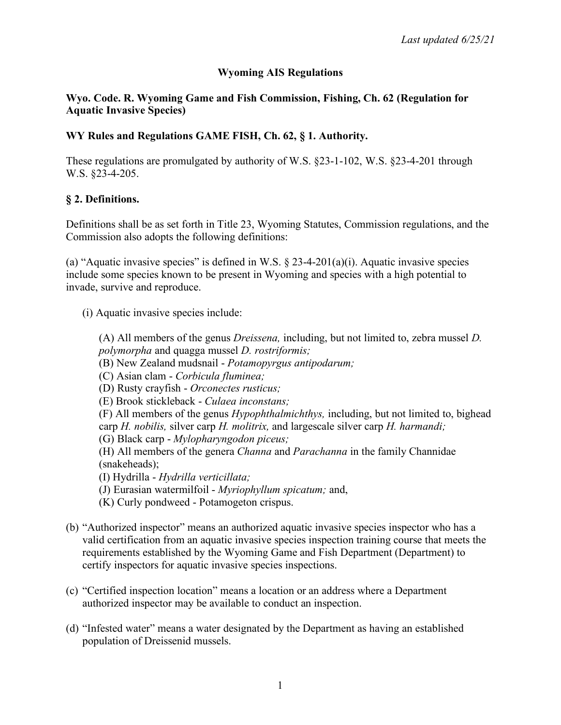# **Wyoming AIS Regulations**

## **Wyo. Code. R. Wyoming Game and Fish Commission, Fishing, Ch. 62 (Regulation for Aquatic Invasive Species)**

# **WY Rules and Regulations GAME FISH, Ch. 62, § 1. Authority.**

These regulations are promulgated by authority of W.S. §23-1-102, W.S. §23-4-201 through W.S. §23-4-205.

## **§ 2. Definitions.**

Definitions shall be as set forth in Title 23, Wyoming Statutes, Commission regulations, and the Commission also adopts the following definitions:

(a) "Aquatic invasive species" is defined in W.S.  $\S$  23-4-201(a)(i). Aquatic invasive species include some species known to be present in Wyoming and species with a high potential to invade, survive and reproduce.

(i) Aquatic invasive species include:

(A) All members of the genus *Dreissena,* including, but not limited to, zebra mussel *D. polymorpha* and quagga mussel *D. rostriformis;*

(B) New Zealand mudsnail - *Potamopyrgus antipodarum;*

(C) Asian clam - *Corbicula fluminea;*

(D) Rusty crayfish - *Orconectes rusticus;*

(E) Brook stickleback - *Culaea inconstans;*

(F) All members of the genus *Hypophthalmichthys,* including, but not limited to, bighead carp *H. nobilis,* silver carp *H. molitrix,* and largescale silver carp *H. harmandi;*

(G) Black carp - *Mylopharyngodon piceus;*

(H) All members of the genera *Channa* and *Parachanna* in the family Channidae (snakeheads);

(I) Hydrilla - *Hydrilla verticillata;*

(J) Eurasian watermilfoil - *Myriophyllum spicatum;* and,

- (K) Curly pondweed Potamogeton crispus.
- (b) "Authorized inspector" means an authorized aquatic invasive species inspector who has a valid certification from an aquatic invasive species inspection training course that meets the requirements established by the Wyoming Game and Fish Department (Department) to certify inspectors for aquatic invasive species inspections.
- (c) "Certified inspection location" means a location or an address where a Department authorized inspector may be available to conduct an inspection.
- (d) "Infested water" means a water designated by the Department as having an established population of Dreissenid mussels.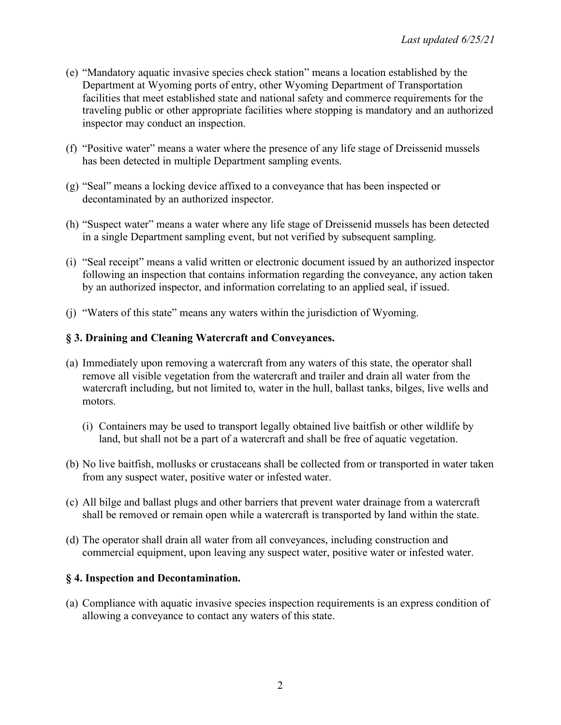- (e) "Mandatory aquatic invasive species check station" means a location established by the Department at Wyoming ports of entry, other Wyoming Department of Transportation facilities that meet established state and national safety and commerce requirements for the traveling public or other appropriate facilities where stopping is mandatory and an authorized inspector may conduct an inspection.
- (f) "Positive water" means a water where the presence of any life stage of Dreissenid mussels has been detected in multiple Department sampling events.
- (g) "Seal" means a locking device affixed to a conveyance that has been inspected or decontaminated by an authorized inspector.
- (h) "Suspect water" means a water where any life stage of Dreissenid mussels has been detected in a single Department sampling event, but not verified by subsequent sampling.
- (i) "Seal receipt" means a valid written or electronic document issued by an authorized inspector following an inspection that contains information regarding the conveyance, any action taken by an authorized inspector, and information correlating to an applied seal, if issued.
- (j) "Waters of this state" means any waters within the jurisdiction of Wyoming.

# **§ 3. Draining and Cleaning Watercraft and Conveyances.**

- (a) Immediately upon removing a watercraft from any waters of this state, the operator shall remove all visible vegetation from the watercraft and trailer and drain all water from the watercraft including, but not limited to, water in the hull, ballast tanks, bilges, live wells and motors.
	- (i) Containers may be used to transport legally obtained live baitfish or other wildlife by land, but shall not be a part of a watercraft and shall be free of aquatic vegetation.
- (b) No live baitfish, mollusks or crustaceans shall be collected from or transported in water taken from any suspect water, positive water or infested water.
- (c) All bilge and ballast plugs and other barriers that prevent water drainage from a watercraft shall be removed or remain open while a watercraft is transported by land within the state.
- (d) The operator shall drain all water from all conveyances, including construction and commercial equipment, upon leaving any suspect water, positive water or infested water.

## **§ 4. Inspection and Decontamination.**

(a) Compliance with aquatic invasive species inspection requirements is an express condition of allowing a conveyance to contact any waters of this state.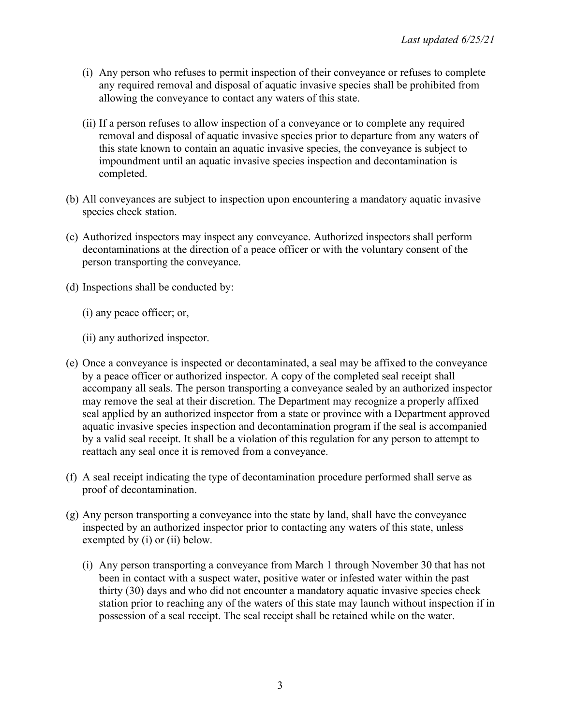- (i) Any person who refuses to permit inspection of their conveyance or refuses to complete any required removal and disposal of aquatic invasive species shall be prohibited from allowing the conveyance to contact any waters of this state.
- (ii) If a person refuses to allow inspection of a conveyance or to complete any required removal and disposal of aquatic invasive species prior to departure from any waters of this state known to contain an aquatic invasive species, the conveyance is subject to impoundment until an aquatic invasive species inspection and decontamination is completed.
- (b) All conveyances are subject to inspection upon encountering a mandatory aquatic invasive species check station.
- (c) Authorized inspectors may inspect any conveyance. Authorized inspectors shall perform decontaminations at the direction of a peace officer or with the voluntary consent of the person transporting the conveyance.
- (d) Inspections shall be conducted by:
	- (i) any peace officer; or,
	- (ii) any authorized inspector.
- (e) Once a conveyance is inspected or decontaminated, a seal may be affixed to the conveyance by a peace officer or authorized inspector. A copy of the completed seal receipt shall accompany all seals. The person transporting a conveyance sealed by an authorized inspector may remove the seal at their discretion. The Department may recognize a properly affixed seal applied by an authorized inspector from a state or province with a Department approved aquatic invasive species inspection and decontamination program if the seal is accompanied by a valid seal receipt. It shall be a violation of this regulation for any person to attempt to reattach any seal once it is removed from a conveyance.
- (f) A seal receipt indicating the type of decontamination procedure performed shall serve as proof of decontamination.
- (g) Any person transporting a conveyance into the state by land, shall have the conveyance inspected by an authorized inspector prior to contacting any waters of this state, unless exempted by (i) or (ii) below.
	- (i) Any person transporting a conveyance from March 1 through November 30 that has not been in contact with a suspect water, positive water or infested water within the past thirty (30) days and who did not encounter a mandatory aquatic invasive species check station prior to reaching any of the waters of this state may launch without inspection if in possession of a seal receipt. The seal receipt shall be retained while on the water.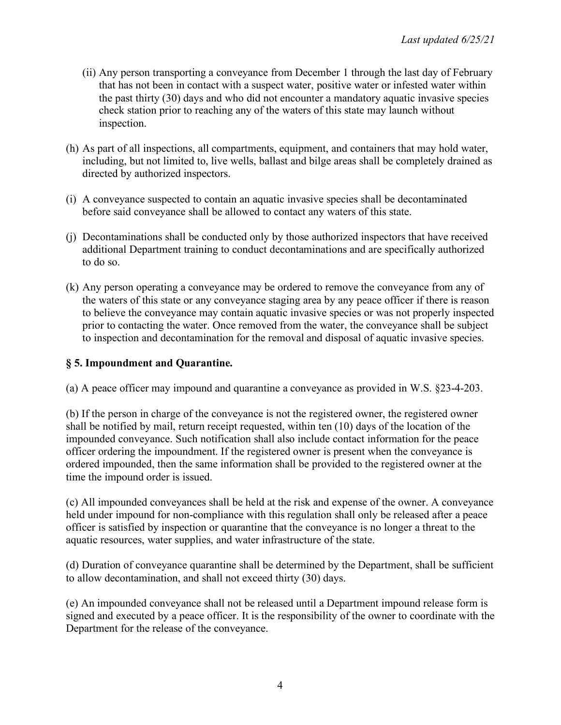- (ii) Any person transporting a conveyance from December 1 through the last day of February that has not been in contact with a suspect water, positive water or infested water within the past thirty (30) days and who did not encounter a mandatory aquatic invasive species check station prior to reaching any of the waters of this state may launch without inspection.
- (h) As part of all inspections, all compartments, equipment, and containers that may hold water, including, but not limited to, live wells, ballast and bilge areas shall be completely drained as directed by authorized inspectors.
- (i) A conveyance suspected to contain an aquatic invasive species shall be decontaminated before said conveyance shall be allowed to contact any waters of this state.
- (j) Decontaminations shall be conducted only by those authorized inspectors that have received additional Department training to conduct decontaminations and are specifically authorized to do so.
- (k) Any person operating a conveyance may be ordered to remove the conveyance from any of the waters of this state or any conveyance staging area by any peace officer if there is reason to believe the conveyance may contain aquatic invasive species or was not properly inspected prior to contacting the water. Once removed from the water, the conveyance shall be subject to inspection and decontamination for the removal and disposal of aquatic invasive species.

# **§ 5. Impoundment and Quarantine.**

(a) A peace officer may impound and quarantine a conveyance as provided in W.S. §23-4-203.

(b) If the person in charge of the conveyance is not the registered owner, the registered owner shall be notified by mail, return receipt requested, within ten (10) days of the location of the impounded conveyance. Such notification shall also include contact information for the peace officer ordering the impoundment. If the registered owner is present when the conveyance is ordered impounded, then the same information shall be provided to the registered owner at the time the impound order is issued.

(c) All impounded conveyances shall be held at the risk and expense of the owner. A conveyance held under impound for non-compliance with this regulation shall only be released after a peace officer is satisfied by inspection or quarantine that the conveyance is no longer a threat to the aquatic resources, water supplies, and water infrastructure of the state.

(d) Duration of conveyance quarantine shall be determined by the Department, shall be sufficient to allow decontamination, and shall not exceed thirty (30) days.

(e) An impounded conveyance shall not be released until a Department impound release form is signed and executed by a peace officer. It is the responsibility of the owner to coordinate with the Department for the release of the conveyance.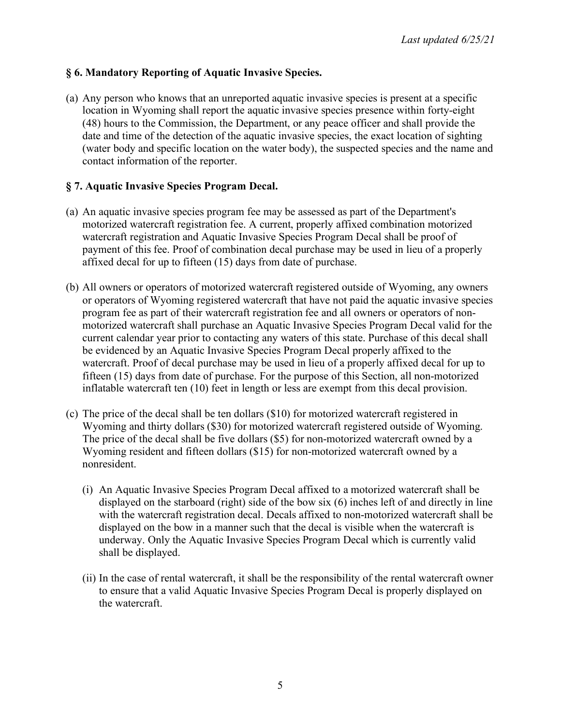## **§ 6. Mandatory Reporting of Aquatic Invasive Species.**

(a) Any person who knows that an unreported aquatic invasive species is present at a specific location in Wyoming shall report the aquatic invasive species presence within forty-eight (48) hours to the Commission, the Department, or any peace officer and shall provide the date and time of the detection of the aquatic invasive species, the exact location of sighting (water body and specific location on the water body), the suspected species and the name and contact information of the reporter.

# **§ 7. Aquatic Invasive Species Program Decal.**

- (a) An aquatic invasive species program fee may be assessed as part of the Department's motorized watercraft registration fee. A current, properly affixed combination motorized watercraft registration and Aquatic Invasive Species Program Decal shall be proof of payment of this fee. Proof of combination decal purchase may be used in lieu of a properly affixed decal for up to fifteen (15) days from date of purchase.
- (b) All owners or operators of motorized watercraft registered outside of Wyoming, any owners or operators of Wyoming registered watercraft that have not paid the aquatic invasive species program fee as part of their watercraft registration fee and all owners or operators of nonmotorized watercraft shall purchase an Aquatic Invasive Species Program Decal valid for the current calendar year prior to contacting any waters of this state. Purchase of this decal shall be evidenced by an Aquatic Invasive Species Program Decal properly affixed to the watercraft. Proof of decal purchase may be used in lieu of a properly affixed decal for up to fifteen (15) days from date of purchase. For the purpose of this Section, all non-motorized inflatable watercraft ten (10) feet in length or less are exempt from this decal provision.
- (c) The price of the decal shall be ten dollars (\$10) for motorized watercraft registered in Wyoming and thirty dollars (\$30) for motorized watercraft registered outside of Wyoming. The price of the decal shall be five dollars (\$5) for non-motorized watercraft owned by a Wyoming resident and fifteen dollars (\$15) for non-motorized watercraft owned by a nonresident.
	- (i) An Aquatic Invasive Species Program Decal affixed to a motorized watercraft shall be displayed on the starboard (right) side of the bow six (6) inches left of and directly in line with the watercraft registration decal. Decals affixed to non-motorized watercraft shall be displayed on the bow in a manner such that the decal is visible when the watercraft is underway. Only the Aquatic Invasive Species Program Decal which is currently valid shall be displayed.
	- (ii) In the case of rental watercraft, it shall be the responsibility of the rental watercraft owner to ensure that a valid Aquatic Invasive Species Program Decal is properly displayed on the watercraft.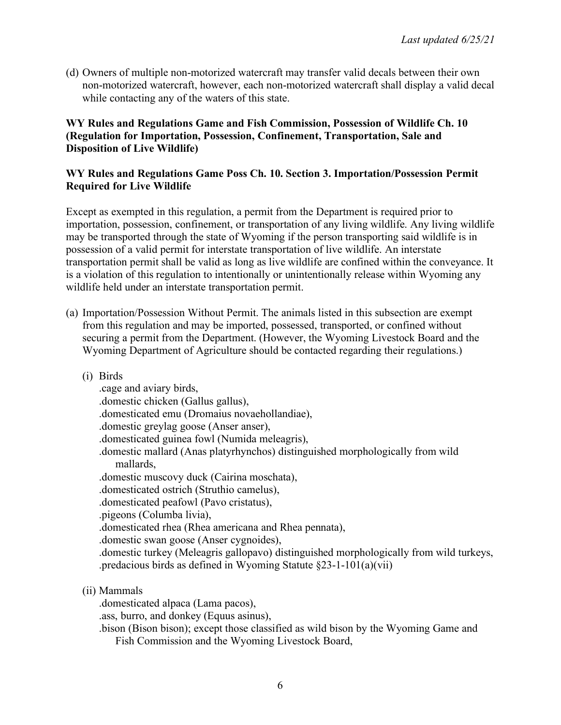(d) Owners of multiple non-motorized watercraft may transfer valid decals between their own non-motorized watercraft, however, each non-motorized watercraft shall display a valid decal while contacting any of the waters of this state.

#### **WY Rules and Regulations Game and Fish Commission, Possession of Wildlife Ch. 10 (Regulation for Importation, Possession, Confinement, Transportation, Sale and Disposition of Live Wildlife)**

#### **WY Rules and Regulations Game Poss Ch. 10. Section 3. Importation/Possession Permit Required for Live Wildlife**

Except as exempted in this regulation, a permit from the Department is required prior to importation, possession, confinement, or transportation of any living wildlife. Any living wildlife may be transported through the state of Wyoming if the person transporting said wildlife is in possession of a valid permit for interstate transportation of live wildlife. An interstate transportation permit shall be valid as long as live wildlife are confined within the conveyance. It is a violation of this regulation to intentionally or unintentionally release within Wyoming any wildlife held under an interstate transportation permit.

- (a) Importation/Possession Without Permit. The animals listed in this subsection are exempt from this regulation and may be imported, possessed, transported, or confined without securing a permit from the Department. (However, the Wyoming Livestock Board and the Wyoming Department of Agriculture should be contacted regarding their regulations.)
	- (i) Birds

.cage and aviary birds, .domestic chicken (Gallus gallus), .domesticated emu (Dromaius novaehollandiae), .domestic greylag goose (Anser anser), .domesticated guinea fowl (Numida meleagris), .domestic mallard (Anas platyrhynchos) distinguished morphologically from wild mallards, .domestic muscovy duck (Cairina moschata), .domesticated ostrich (Struthio camelus), .domesticated peafowl (Pavo cristatus), .pigeons (Columba livia), .domesticated rhea (Rhea americana and Rhea pennata), .domestic swan goose (Anser cygnoides), .domestic turkey (Meleagris gallopavo) distinguished morphologically from wild turkeys, .predacious birds as defined in Wyoming Statute §23-1-101(a)(vii)

(ii) Mammals

.domesticated alpaca (Lama pacos),

.ass, burro, and donkey (Equus asinus),

.bison (Bison bison); except those classified as wild bison by the Wyoming Game and Fish Commission and the Wyoming Livestock Board,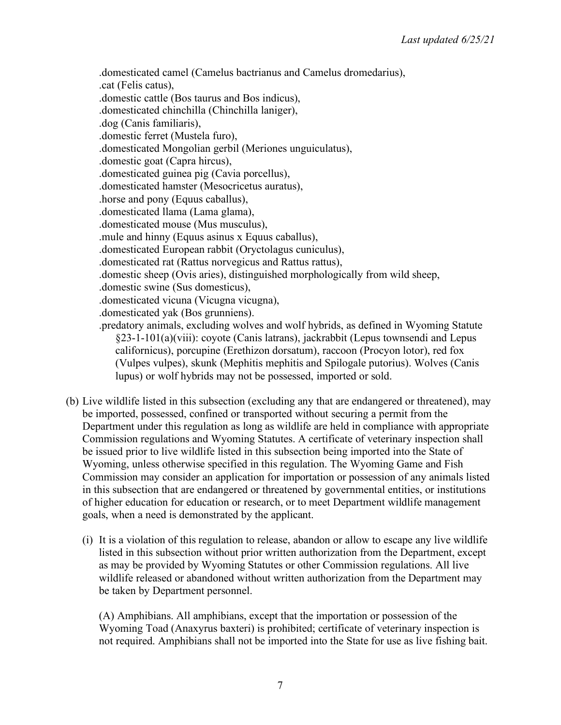.domesticated camel (Camelus bactrianus and Camelus dromedarius), .cat (Felis catus), .domestic cattle (Bos taurus and Bos indicus), .domesticated chinchilla (Chinchilla laniger), .dog (Canis familiaris), .domestic ferret (Mustela furo), .domesticated Mongolian gerbil (Meriones unguiculatus), .domestic goat (Capra hircus), .domesticated guinea pig (Cavia porcellus), .domesticated hamster (Mesocricetus auratus), .horse and pony (Equus caballus), .domesticated llama (Lama glama), .domesticated mouse (Mus musculus), .mule and hinny (Equus asinus x Equus caballus), .domesticated European rabbit (Oryctolagus cuniculus), .domesticated rat (Rattus norvegicus and Rattus rattus), .domestic sheep (Ovis aries), distinguished morphologically from wild sheep, .domestic swine (Sus domesticus), .domesticated vicuna (Vicugna vicugna), .domesticated yak (Bos grunniens). .predatory animals, excluding wolves and wolf hybrids, as defined in Wyoming Statute §23-1-101(a)(viii): coyote (Canis latrans), jackrabbit (Lepus townsendi and Lepus californicus), porcupine (Erethizon dorsatum), raccoon (Procyon lotor), red fox

(Vulpes vulpes), skunk (Mephitis mephitis and Spilogale putorius). Wolves (Canis lupus) or wolf hybrids may not be possessed, imported or sold.

- (b) Live wildlife listed in this subsection (excluding any that are endangered or threatened), may be imported, possessed, confined or transported without securing a permit from the Department under this regulation as long as wildlife are held in compliance with appropriate Commission regulations and Wyoming Statutes. A certificate of veterinary inspection shall be issued prior to live wildlife listed in this subsection being imported into the State of Wyoming, unless otherwise specified in this regulation. The Wyoming Game and Fish Commission may consider an application for importation or possession of any animals listed in this subsection that are endangered or threatened by governmental entities, or institutions of higher education for education or research, or to meet Department wildlife management goals, when a need is demonstrated by the applicant.
	- (i) It is a violation of this regulation to release, abandon or allow to escape any live wildlife listed in this subsection without prior written authorization from the Department, except as may be provided by Wyoming Statutes or other Commission regulations. All live wildlife released or abandoned without written authorization from the Department may be taken by Department personnel.

(A) Amphibians. All amphibians, except that the importation or possession of the Wyoming Toad (Anaxyrus baxteri) is prohibited; certificate of veterinary inspection is not required. Amphibians shall not be imported into the State for use as live fishing bait.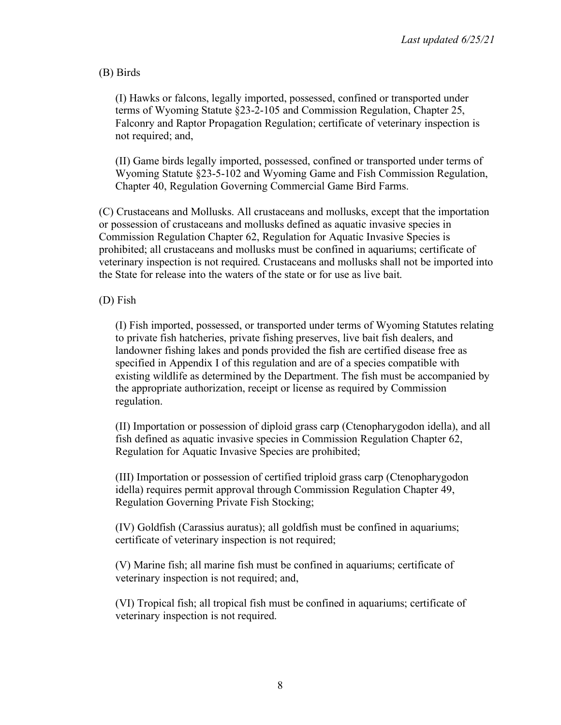(B) Birds

(I) Hawks or falcons, legally imported, possessed, confined or transported under terms of Wyoming Statute §23-2-105 and Commission Regulation, Chapter 25, Falconry and Raptor Propagation Regulation; certificate of veterinary inspection is not required; and,

(II) Game birds legally imported, possessed, confined or transported under terms of Wyoming Statute §23-5-102 and Wyoming Game and Fish Commission Regulation, Chapter 40, Regulation Governing Commercial Game Bird Farms.

(C) Crustaceans and Mollusks. All crustaceans and mollusks, except that the importation or possession of crustaceans and mollusks defined as aquatic invasive species in Commission Regulation Chapter 62, Regulation for Aquatic Invasive Species is prohibited; all crustaceans and mollusks must be confined in aquariums; certificate of veterinary inspection is not required. Crustaceans and mollusks shall not be imported into the State for release into the waters of the state or for use as live bait.

## (D) Fish

(I) Fish imported, possessed, or transported under terms of Wyoming Statutes relating to private fish hatcheries, private fishing preserves, live bait fish dealers, and landowner fishing lakes and ponds provided the fish are certified disease free as specified in Appendix I of this regulation and are of a species compatible with existing wildlife as determined by the Department. The fish must be accompanied by the appropriate authorization, receipt or license as required by Commission regulation.

(II) Importation or possession of diploid grass carp (Ctenopharygodon idella), and all fish defined as aquatic invasive species in Commission Regulation Chapter 62, Regulation for Aquatic Invasive Species are prohibited;

(III) Importation or possession of certified triploid grass carp (Ctenopharygodon idella) requires permit approval through Commission Regulation Chapter 49, Regulation Governing Private Fish Stocking;

(IV) Goldfish (Carassius auratus); all goldfish must be confined in aquariums; certificate of veterinary inspection is not required;

(V) Marine fish; all marine fish must be confined in aquariums; certificate of veterinary inspection is not required; and,

(VI) Tropical fish; all tropical fish must be confined in aquariums; certificate of veterinary inspection is not required.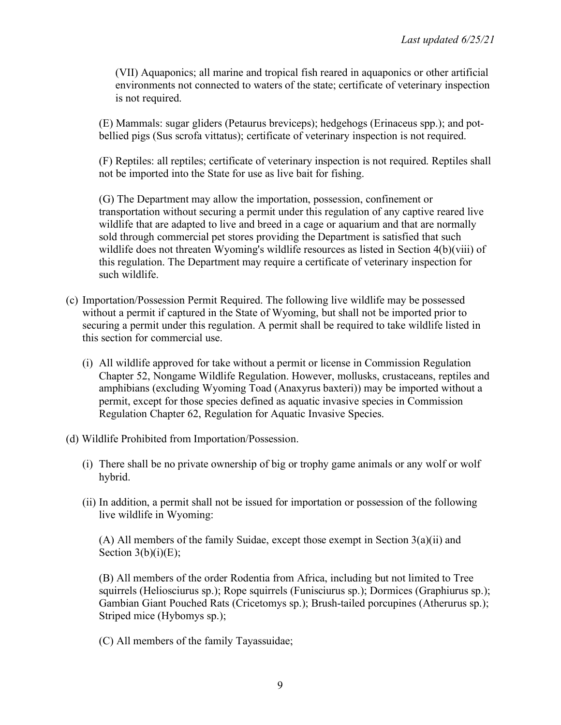(VII) Aquaponics; all marine and tropical fish reared in aquaponics or other artificial environments not connected to waters of the state; certificate of veterinary inspection is not required.

(E) Mammals: sugar gliders (Petaurus breviceps); hedgehogs (Erinaceus spp.); and potbellied pigs (Sus scrofa vittatus); certificate of veterinary inspection is not required.

(F) Reptiles: all reptiles; certificate of veterinary inspection is not required. Reptiles shall not be imported into the State for use as live bait for fishing.

(G) The Department may allow the importation, possession, confinement or transportation without securing a permit under this regulation of any captive reared live wildlife that are adapted to live and breed in a cage or aquarium and that are normally sold through commercial pet stores providing the Department is satisfied that such wildlife does not threaten Wyoming's wildlife resources as listed in Section 4(b)(viii) of this regulation. The Department may require a certificate of veterinary inspection for such wildlife.

- (c) Importation/Possession Permit Required. The following live wildlife may be possessed without a permit if captured in the State of Wyoming, but shall not be imported prior to securing a permit under this regulation. A permit shall be required to take wildlife listed in this section for commercial use.
	- (i) All wildlife approved for take without a permit or license in Commission Regulation Chapter 52, Nongame Wildlife Regulation. However, mollusks, crustaceans, reptiles and amphibians (excluding Wyoming Toad (Anaxyrus baxteri)) may be imported without a permit, except for those species defined as aquatic invasive species in Commission Regulation Chapter 62, Regulation for Aquatic Invasive Species.
- (d) Wildlife Prohibited from Importation/Possession.
	- (i) There shall be no private ownership of big or trophy game animals or any wolf or wolf hybrid.
	- (ii) In addition, a permit shall not be issued for importation or possession of the following live wildlife in Wyoming:

(A) All members of the family Suidae, except those exempt in Section 3(a)(ii) and Section  $3(b)(i)(E)$ ;

(B) All members of the order Rodentia from Africa, including but not limited to Tree squirrels (Heliosciurus sp.); Rope squirrels (Funisciurus sp.); Dormices (Graphiurus sp.); Gambian Giant Pouched Rats (Cricetomys sp.); Brush-tailed porcupines (Atherurus sp.); Striped mice (Hybomys sp.);

(C) All members of the family Tayassuidae;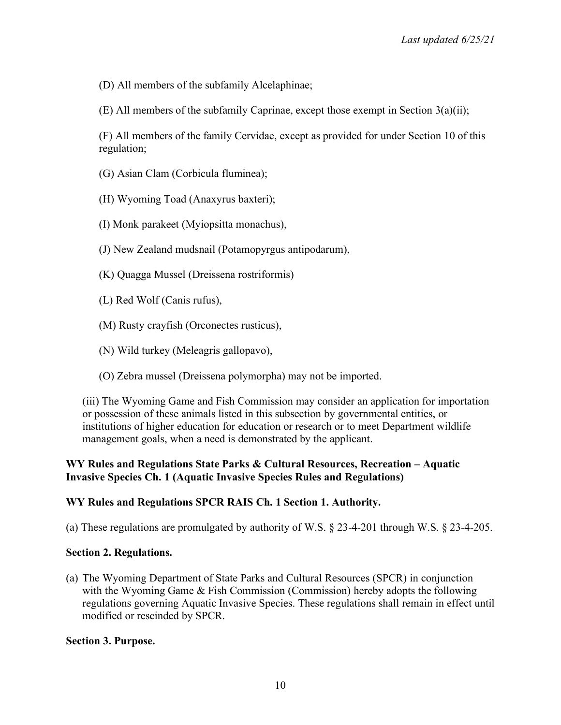(D) All members of the subfamily Alcelaphinae;

(E) All members of the subfamily Caprinae, except those exempt in Section 3(a)(ii);

(F) All members of the family Cervidae, except as provided for under Section 10 of this regulation;

- (G) Asian Clam (Corbicula fluminea);
- (H) Wyoming Toad (Anaxyrus baxteri);
- (I) Monk parakeet (Myiopsitta monachus),
- (J) New Zealand mudsnail (Potamopyrgus antipodarum),
- (K) Quagga Mussel (Dreissena rostriformis)
- (L) Red Wolf (Canis rufus),
- (M) Rusty crayfish (Orconectes rusticus),
- (N) Wild turkey (Meleagris gallopavo),
- (O) Zebra mussel (Dreissena polymorpha) may not be imported.

(iii) The Wyoming Game and Fish Commission may consider an application for importation or possession of these animals listed in this subsection by governmental entities, or institutions of higher education for education or research or to meet Department wildlife management goals, when a need is demonstrated by the applicant.

# **WY Rules and Regulations State Parks & Cultural Resources, Recreation – Aquatic Invasive Species Ch. 1 (Aquatic Invasive Species Rules and Regulations)**

# **WY Rules and Regulations SPCR RAIS Ch. 1 Section 1. Authority.**

(a) These regulations are promulgated by authority of W.S. § 23-4-201 through W.S. § 23-4-205.

## **Section 2. Regulations.**

(a) The Wyoming Department of State Parks and Cultural Resources (SPCR) in conjunction with the Wyoming Game & Fish Commission (Commission) hereby adopts the following regulations governing Aquatic Invasive Species. These regulations shall remain in effect until modified or rescinded by SPCR.

## **Section 3. Purpose.**